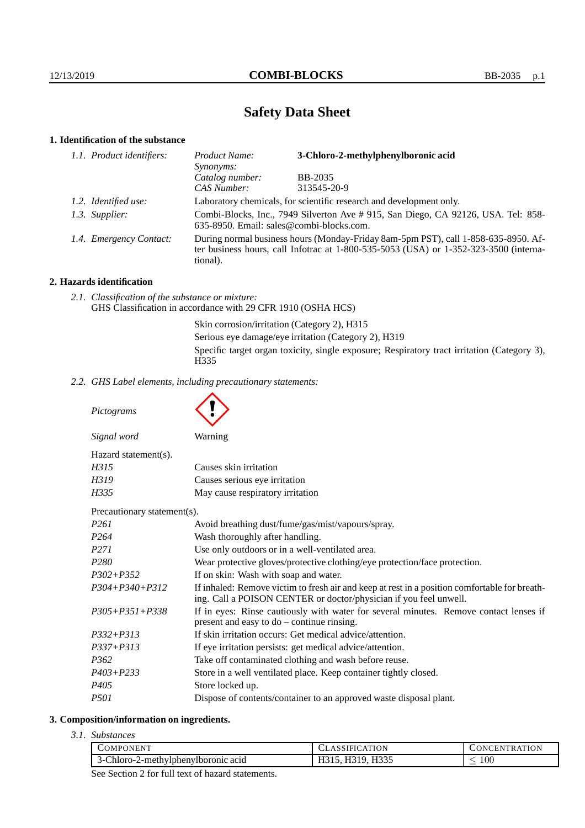# **Safety Data Sheet**

## **1. Identification of the substance**

| 1.1. Product identifiers: | Product Name:<br><i>Synonyms:</i>                                                                                                                                                           | 3-Chloro-2-methylphenylboronic acid |
|---------------------------|---------------------------------------------------------------------------------------------------------------------------------------------------------------------------------------------|-------------------------------------|
|                           | Catalog number:                                                                                                                                                                             | <b>BB-2035</b>                      |
|                           | CAS Number:                                                                                                                                                                                 | 313545-20-9                         |
| 1.2. Identified use:      | Laboratory chemicals, for scientific research and development only.                                                                                                                         |                                     |
| 1.3. Supplier:            | Combi-Blocks, Inc., 7949 Silverton Ave # 915, San Diego, CA 92126, USA. Tel: 858-<br>635-8950. Email: sales@combi-blocks.com.                                                               |                                     |
| 1.4. Emergency Contact:   | During normal business hours (Monday-Friday 8am-5pm PST), call 1-858-635-8950. Af-<br>ter business hours, call Infotrac at $1-800-535-5053$ (USA) or $1-352-323-3500$ (interna-<br>tional). |                                     |

## **2. Hazards identification**

*2.1. Classification of the substance or mixture:* GHS Classification in accordance with 29 CFR 1910 (OSHA HCS)

> Skin corrosion/irritation (Category 2), H315 Serious eye damage/eye irritation (Category 2), H319 Specific target organ toxicity, single exposure; Respiratory tract irritation (Category 3), H335

*2.2. GHS Label elements, including precautionary statements:*

*Pictograms*

| Signal word                 | Warning                                                                                                                                                            |  |
|-----------------------------|--------------------------------------------------------------------------------------------------------------------------------------------------------------------|--|
| Hazard statement(s).        |                                                                                                                                                                    |  |
| H315                        | Causes skin irritation                                                                                                                                             |  |
| H319                        | Causes serious eye irritation                                                                                                                                      |  |
| H335                        | May cause respiratory irritation                                                                                                                                   |  |
| Precautionary statement(s). |                                                                                                                                                                    |  |
| P261                        | Avoid breathing dust/fume/gas/mist/vapours/spray.                                                                                                                  |  |
| P <sub>264</sub>            | Wash thoroughly after handling.                                                                                                                                    |  |
| P271                        | Use only outdoors or in a well-ventilated area.                                                                                                                    |  |
| P <sub>280</sub>            | Wear protective gloves/protective clothing/eye protection/face protection.                                                                                         |  |
| $P302 + P352$               | If on skin: Wash with soap and water.                                                                                                                              |  |
| $P304 + P340 + P312$        | If inhaled: Remove victim to fresh air and keep at rest in a position comfortable for breath-<br>ing. Call a POISON CENTER or doctor/physician if you feel unwell. |  |
| $P305 + P351 + P338$        | If in eyes: Rinse cautiously with water for several minutes. Remove contact lenses if<br>present and easy to $do$ – continue rinsing.                              |  |
| $P332 + P313$               | If skin irritation occurs: Get medical advice/attention.                                                                                                           |  |
| $P337 + P313$               | If eye irritation persists: get medical advice/attention.                                                                                                          |  |
|                             |                                                                                                                                                                    |  |

*P362* Take off contaminated clothing and wash before reuse.

- *P403+P233* Store in a well ventilated place. Keep container tightly closed.
- *P405* Store locked up.
- *P501* Dispose of contents/container to an approved waste disposal plant.

## **3. Composition/information on ingredients.**

*3.1. Substances*

| )MPC<br>DNEN'                                 | ION<br>$\mathbf{A}$ | ATION<br><b>INI</b><br>∸EN.<br>ĸ. |
|-----------------------------------------------|---------------------|-----------------------------------|
| Chloro-2<br>2-methylphenylboromic acid<br>ร−เ | TTQZ<br>$\sim$<br>. | $100\,$                           |

See Section 2 for full text of hazard statements.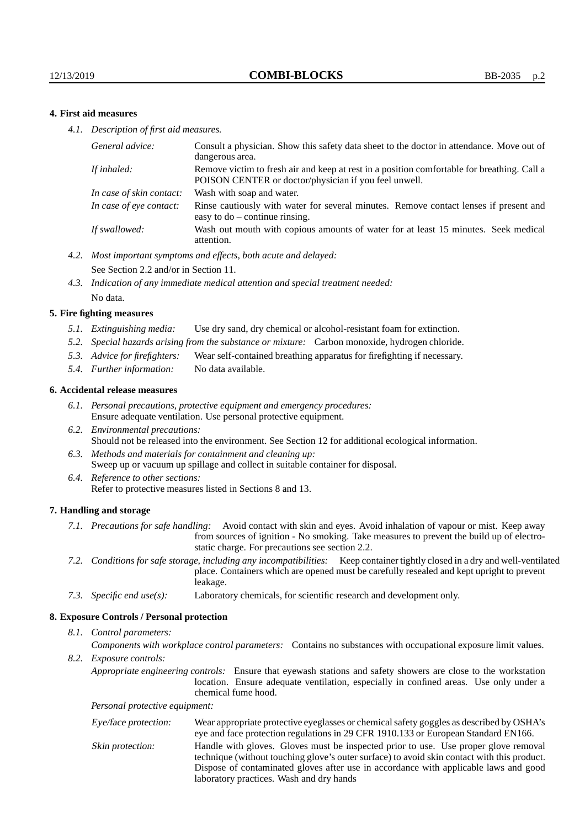## **4. First aid measures**

*4.1. Description of first aid measures.*

| General advice:          | Consult a physician. Show this safety data sheet to the doctor in attendance. Move out of<br>dangerous area.                                         |
|--------------------------|------------------------------------------------------------------------------------------------------------------------------------------------------|
| If inhaled:              | Remove victim to fresh air and keep at rest in a position comfortable for breathing. Call a<br>POISON CENTER or doctor/physician if you feel unwell. |
| In case of skin contact: | Wash with soap and water.                                                                                                                            |
| In case of eye contact:  | Rinse cautiously with water for several minutes. Remove contact lenses if present and<br>easy to $do$ – continue rinsing.                            |
| If swallowed:            | Wash out mouth with copious amounts of water for at least 15 minutes. Seek medical<br>attention.                                                     |

- *4.2. Most important symptoms and effects, both acute and delayed:* See Section 2.2 and/or in Section 11.
- *4.3. Indication of any immediate medical attention and special treatment needed:* No data.

#### **5. Fire fighting measures**

- *5.1. Extinguishing media:* Use dry sand, dry chemical or alcohol-resistant foam for extinction.
- *5.2. Special hazards arising from the substance or mixture:* Carbon monoxide, hydrogen chloride.
- *5.3. Advice for firefighters:* Wear self-contained breathing apparatus for firefighting if necessary.
- *5.4. Further information:* No data available.

#### **6. Accidental release measures**

- *6.1. Personal precautions, protective equipment and emergency procedures:* Ensure adequate ventilation. Use personal protective equipment.
- *6.2. Environmental precautions:* Should not be released into the environment. See Section 12 for additional ecological information.
- *6.3. Methods and materials for containment and cleaning up:* Sweep up or vacuum up spillage and collect in suitable container for disposal.
- *6.4. Reference to other sections:* Refer to protective measures listed in Sections 8 and 13.

#### **7. Handling and storage**

- *7.1. Precautions for safe handling:* Avoid contact with skin and eyes. Avoid inhalation of vapour or mist. Keep away from sources of ignition - No smoking. Take measures to prevent the build up of electrostatic charge. For precautions see section 2.2.
- *7.2. Conditions for safe storage, including any incompatibilities:* Keep container tightly closed in a dry and well-ventilated place. Containers which are opened must be carefully resealed and kept upright to prevent leakage.
- *7.3. Specific end use(s):* Laboratory chemicals, for scientific research and development only.

#### **8. Exposure Controls / Personal protection**

*8.1. Control parameters:*

*Components with workplace control parameters:* Contains no substances with occupational exposure limit values.

*8.2. Exposure controls:*

*Appropriate engineering controls:* Ensure that eyewash stations and safety showers are close to the workstation location. Ensure adequate ventilation, especially in confined areas. Use only under a chemical fume hood.

*Personal protective equipment:*

| Eye/face protection: | Wear appropriate protective eyeglasses or chemical safety goggles as described by OSHA's<br>eye and face protection regulations in 29 CFR 1910.133 or European Standard EN166.                                                                                                                                         |
|----------------------|------------------------------------------------------------------------------------------------------------------------------------------------------------------------------------------------------------------------------------------------------------------------------------------------------------------------|
| Skin protection:     | Handle with gloves. Gloves must be inspected prior to use. Use proper glove removal<br>technique (without touching glove's outer surface) to avoid skin contact with this product.<br>Dispose of contaminated gloves after use in accordance with applicable laws and good<br>laboratory practices. Wash and dry hands |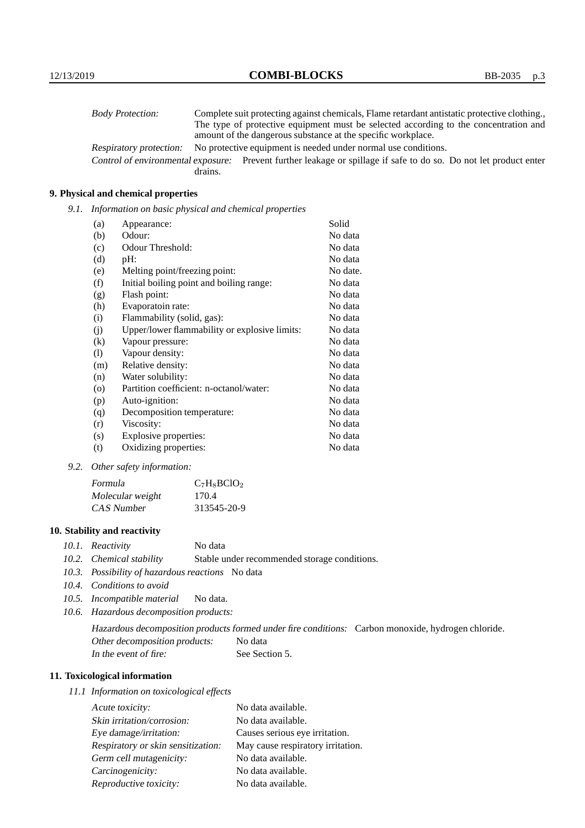| <b>Body Protection:</b> |         | Complete suit protecting against chemicals, Flame retardant antistatic protective clothing.                       |
|-------------------------|---------|-------------------------------------------------------------------------------------------------------------------|
|                         |         | The type of protective equipment must be selected according to the concentration and                              |
|                         |         | amount of the dangerous substance at the specific workplace.                                                      |
| Respiratory protection: |         | No protective equipment is needed under normal use conditions.                                                    |
|                         |         | Control of environmental exposure: Prevent further leakage or spillage if safe to do so. Do not let product enter |
|                         | drains. |                                                                                                                   |

## **9. Physical and chemical properties**

*9.1. Information on basic physical and chemical properties*

| (a)      | Appearance:                                   | Solid    |
|----------|-----------------------------------------------|----------|
| (b)      | Odour:                                        | No data  |
| (c)      | Odour Threshold:                              | No data  |
| (d)      | pH:                                           | No data  |
| (e)      | Melting point/freezing point:                 | No date. |
| (f)      | Initial boiling point and boiling range:      | No data  |
| (g)      | Flash point:                                  | No data  |
| (h)      | Evaporatoin rate:                             | No data  |
| (i)      | Flammability (solid, gas):                    | No data  |
| (j)      | Upper/lower flammability or explosive limits: | No data  |
| $\rm(k)$ | Vapour pressure:                              | No data  |
| (1)      | Vapour density:                               | No data  |
| (m)      | Relative density:                             | No data  |
| (n)      | Water solubility:                             | No data  |
| $\circ$  | Partition coefficient: n-octanol/water:       | No data  |
| (p)      | Auto-ignition:                                | No data  |
| (q)      | Decomposition temperature:                    | No data  |
| (r)      | Viscosity:                                    | No data  |
| (s)      | Explosive properties:                         | No data  |
| (t)      | Oxidizing properties:                         | No data  |

*9.2. Other safety information:*

| Formula          | $C_7H_8BCIO_2$ |
|------------------|----------------|
| Molecular weight | 170.4          |
| CAS Number       | 313545-20-9    |

## **10. Stability and reactivity**

- *10.1. Reactivity* No data
- *10.2. Chemical stability* Stable under recommended storage conditions.
- *10.3. Possibility of hazardous reactions* No data
- *10.4. Conditions to avoid*
- *10.5. Incompatible material* No data.
- *10.6. Hazardous decomposition products:*

Hazardous decomposition products formed under fire conditions: Carbon monoxide, hydrogen chloride. Other decomposition products: No data In the event of fire: See Section 5.

## **11. Toxicological information**

*11.1 Information on toxicological effects*

| Acute toxicity:                    | No data available.                |
|------------------------------------|-----------------------------------|
| Skin irritation/corrosion:         | No data available.                |
| Eye damage/irritation:             | Causes serious eye irritation.    |
| Respiratory or skin sensitization: | May cause respiratory irritation. |
| Germ cell mutagenicity:            | No data available.                |
| Carcinogenicity:                   | No data available.                |
| Reproductive toxicity:             | No data available.                |